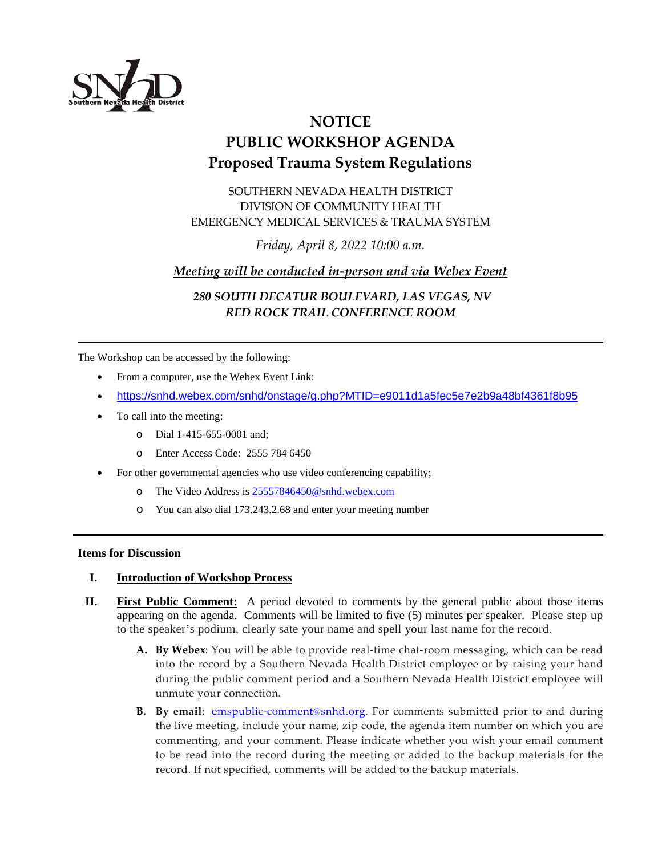

# **NOTICE PUBLIC WORKSHOP AGENDA Proposed Trauma System Regulations**

SOUTHERN NEVADA HEALTH DISTRICT DIVISION OF COMMUNITY HEALTH EMERGENCY MEDICAL SERVICES & TRAUMA SYSTEM

*Friday, April 8, 2022 10:00 a.m.*

## *Meeting will be conducted in-person and via Webex Event*

 *280 SOUTH DECATUR BOULEVARD, LAS VEGAS, NV RED ROCK TRAIL CONFERENCE ROOM*

The Workshop can be accessed by the following:

- From a computer, use the Webex Event Link:
- <https://snhd.webex.com/snhd/onstage/g.php?MTID=e9011d1a5fec5e7e2b9a48bf4361f8b95>
- To call into the meeting:
	- o Dial 1-415-655-0001 and;
	- o Enter Access Code: 2555 784 6450
- For other governmental agencies who use video conferencing capability;
	- o The Video Address is 2555784645[0@snhd.webex.com](mailto:25524217276@snhd.webex.com)
	- o You can also dial 173.243.2.68 and enter your meeting number

#### **Items for Discussion**

#### **I. Introduction of Workshop Process**

- **II. First Public Comment:** A period devoted to comments by the general public about those items appearing on the agenda. Comments will be limited to five (5) minutes per speaker. Please step up to the speaker's podium, clearly sate your name and spell your last name for the record.
	- **A. By Webex**: You will be able to provide real-time chat-room messaging, which can be read into the record by a Southern Nevada Health District employee or by raising your hand during the public comment period and a Southern Nevada Health District employee will unmute your connection.
	- **B.** By email: **emspublic-comment@snhd.org**. For comments submitted prior to and during the live meeting, include your name, zip code, the agenda item number on which you are commenting, and your comment. Please indicate whether you wish your email comment to be read into the record during the meeting or added to the backup materials for the record. If not specified, comments will be added to the backup materials.